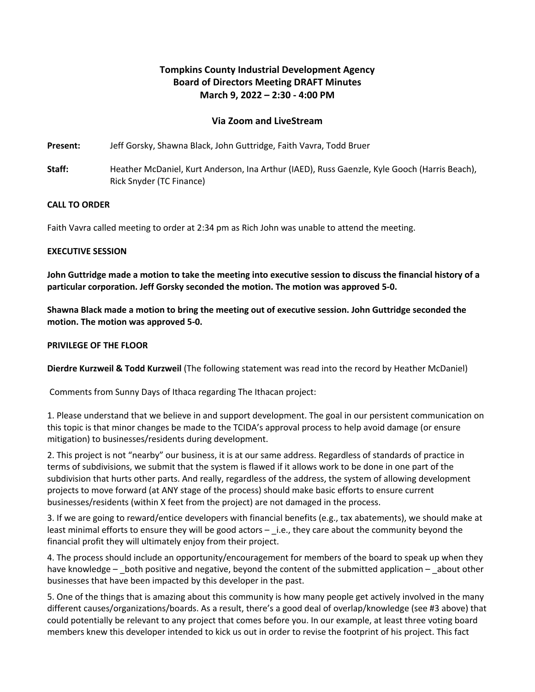# **Tompkins County Industrial Development Agency Board of Directors Meeting DRAFT Minutes March 9, 2022 – 2:30 - 4:00 PM**

# **Via Zoom and LiveStream**

**Present:** Jeff Gorsky, Shawna Black, John Guttridge, Faith Vavra, Todd Bruer

**Staff:** Heather McDaniel, Kurt Anderson, Ina Arthur (IAED), Russ Gaenzle, Kyle Gooch (Harris Beach), Rick Snyder (TC Finance)

### **CALL TO ORDER**

Faith Vavra called meeting to order at 2:34 pm as Rich John was unable to attend the meeting.

### **EXECUTIVE SESSION**

**John Guttridge made a motion to take the meeting into executive session to discuss the financial history of a particular corporation. Jeff Gorsky seconded the motion. The motion was approved 5-0.**

**Shawna Black made a motion to bring the meeting out of executive session. John Guttridge seconded the motion. The motion was approved 5-0.**

#### **PRIVILEGE OF THE FLOOR**

**Dierdre Kurzweil & Todd Kurzweil** (The following statement was read into the record by Heather McDaniel)

Comments from Sunny Days of Ithaca regarding The Ithacan project:

1. Please understand that we believe in and support development. The goal in our persistent communication on this topic is that minor changes be made to the TCIDA's approval process to help avoid damage (or ensure mitigation) to businesses/residents during development.

2. This project is not "nearby" our business, it is at our same address. Regardless of standards of practice in terms of subdivisions, we submit that the system is flawed if it allows work to be done in one part of the subdivision that hurts other parts. And really, regardless of the address, the system of allowing development projects to move forward (at ANY stage of the process) should make basic efforts to ensure current businesses/residents (within X feet from the project) are not damaged in the process.

3. If we are going to reward/entice developers with financial benefits (e.g., tax abatements), we should make at least minimal efforts to ensure they will be good actors  $-$  i.e., they care about the community beyond the financial profit they will ultimately enjoy from their project.

4. The process should include an opportunity/encouragement for members of the board to speak up when they have knowledge  $-$  both positive and negative, beyond the content of the submitted application  $-$  about other businesses that have been impacted by this developer in the past.

5. One of the things that is amazing about this community is how many people get actively involved in the many different causes/organizations/boards. As a result, there's a good deal of overlap/knowledge (see #3 above) that could potentially be relevant to any project that comes before you. In our example, at least three voting board members knew this developer intended to kick us out in order to revise the footprint of his project. This fact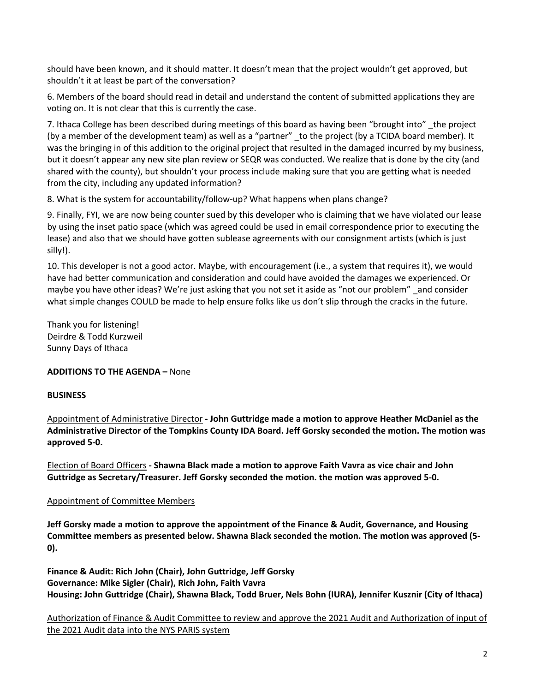should have been known, and it should matter. It doesn't mean that the project wouldn't get approved, but shouldn't it at least be part of the conversation?

6. Members of the board should read in detail and understand the content of submitted applications they are voting on. It is not clear that this is currently the case.

7. Ithaca College has been described during meetings of this board as having been "brought into" \_the project (by a member of the development team) as well as a "partner" to the project (by a TCIDA board member). It was the bringing in of this addition to the original project that resulted in the damaged incurred by my business, but it doesn't appear any new site plan review or SEQR was conducted. We realize that is done by the city (and shared with the county), but shouldn't your process include making sure that you are getting what is needed from the city, including any updated information?

8. What is the system for accountability/follow-up? What happens when plans change?

9. Finally, FYI, we are now being counter sued by this developer who is claiming that we have violated our lease by using the inset patio space (which was agreed could be used in email correspondence prior to executing the lease) and also that we should have gotten sublease agreements with our consignment artists (which is just silly!).

10. This developer is not a good actor. Maybe, with encouragement (i.e., a system that requires it), we would have had better communication and consideration and could have avoided the damages we experienced. Or maybe you have other ideas? We're just asking that you not set it aside as "not our problem" \_and consider what simple changes COULD be made to help ensure folks like us don't slip through the cracks in the future.

Thank you for listening! Deirdre & Todd Kurzweil Sunny Days of Ithaca

**ADDITIONS TO THE AGENDA –** None

### **BUSINESS**

Appointment of Administrative Director **- John Guttridge made a motion to approve Heather McDaniel as the Administrative Director of the Tompkins County IDA Board. Jeff Gorsky seconded the motion. The motion was approved 5-0.**

Election of Board Officers **- Shawna Black made a motion to approve Faith Vavra as vice chair and John Guttridge as Secretary/Treasurer. Jeff Gorsky seconded the motion. the motion was approved 5-0.**

### Appointment of Committee Members

**Jeff Gorsky made a motion to approve the appointment of the Finance & Audit, Governance, and Housing Committee members as presented below. Shawna Black seconded the motion. The motion was approved (5- 0).**

**Finance & Audit: Rich John (Chair), John Guttridge, Jeff Gorsky Governance: Mike Sigler (Chair), Rich John, Faith Vavra Housing: John Guttridge (Chair), Shawna Black, Todd Bruer, Nels Bohn (IURA), Jennifer Kusznir (City of Ithaca)**

Authorization of Finance & Audit Committee to review and approve the 2021 Audit and Authorization of input of the 2021 Audit data into the NYS PARIS system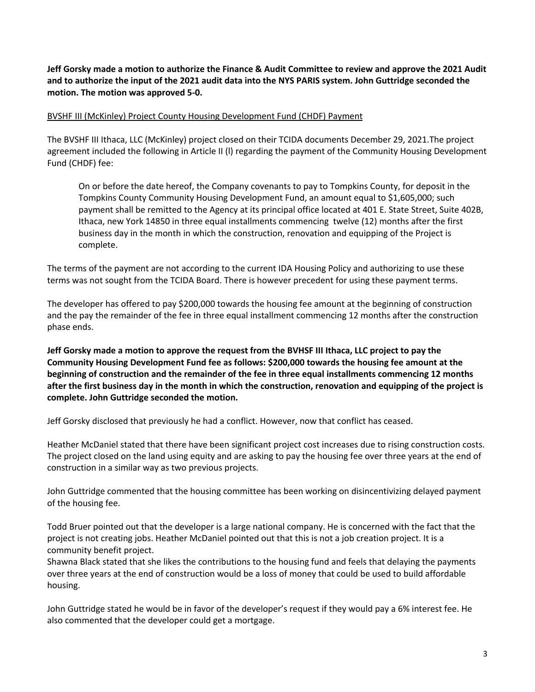**Jeff Gorsky made a motion to authorize the Finance & Audit Committee to review and approve the 2021 Audit and to authorize the input of the 2021 audit data into the NYS PARIS system. John Guttridge seconded the motion. The motion was approved 5-0.**

### BVSHF III (McKinley) Project County Housing Development Fund (CHDF) Payment

The BVSHF III Ithaca, LLC (McKinley) project closed on their TCIDA documents December 29, 2021.The project agreement included the following in Article II (l) regarding the payment of the Community Housing Development Fund (CHDF) fee:

On or before the date hereof, the Company covenants to pay to Tompkins County, for deposit in the Tompkins County Community Housing Development Fund, an amount equal to \$1,605,000; such payment shall be remitted to the Agency at its principal office located at 401 E. State Street, Suite 402B, Ithaca, new York 14850 in three equal installments commencing twelve (12) months after the first business day in the month in which the construction, renovation and equipping of the Project is complete.

The terms of the payment are not according to the current IDA Housing Policy and authorizing to use these terms was not sought from the TCIDA Board. There is however precedent for using these payment terms.

The developer has offered to pay \$200,000 towards the housing fee amount at the beginning of construction and the pay the remainder of the fee in three equal installment commencing 12 months after the construction phase ends.

**Jeff Gorsky made a motion to approve the request from the BVHSF III Ithaca, LLC project to pay the Community Housing Development Fund fee as follows: \$200,000 towards the housing fee amount at the beginning of construction and the remainder of the fee in three equal installments commencing 12 months after the first business day in the month in which the construction, renovation and equipping of the project is complete. John Guttridge seconded the motion.**

Jeff Gorsky disclosed that previously he had a conflict. However, now that conflict has ceased.

Heather McDaniel stated that there have been significant project cost increases due to rising construction costs. The project closed on the land using equity and are asking to pay the housing fee over three years at the end of construction in a similar way as two previous projects.

John Guttridge commented that the housing committee has been working on disincentivizing delayed payment of the housing fee.

Todd Bruer pointed out that the developer is a large national company. He is concerned with the fact that the project is not creating jobs. Heather McDaniel pointed out that this is not a job creation project. It is a community benefit project.

Shawna Black stated that she likes the contributions to the housing fund and feels that delaying the payments over three years at the end of construction would be a loss of money that could be used to build affordable housing.

John Guttridge stated he would be in favor of the developer's request if they would pay a 6% interest fee. He also commented that the developer could get a mortgage.